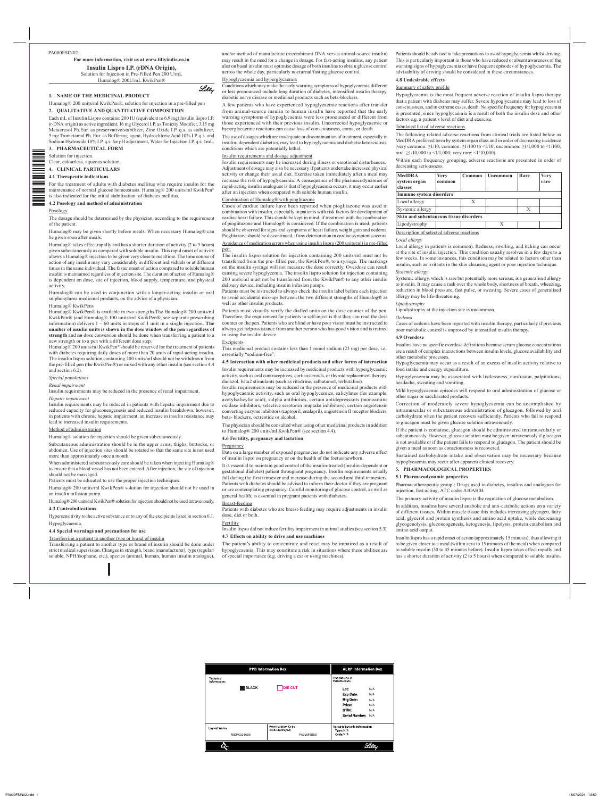PA000FSIN02

For more information, visit us at www.lillyindia.co.in

**Insulin Lispro I.P. (rDNA Origin),** Solution for Injection in Pre-Filled Pen 200 U/mL Humalog® 200U/mL KwikPen®

# **1. NAME OF THE MEDICINAL PRODUCT**

Humalog® 200 units/ml KwikPen®, solution for injection in a pre-filled pen

# **COMPOSITION QUANTITATIVE AND QUALITATIVE 2.**

Each mL of Insulin Lispro contains: 200 IU (equivalent to 6.9 mg) Insulin lispro I.P. (r-DNA origin) as active ingredient, 16 mg Glycerol I.P. as Tonicity Modifier, 3.15 mg Metacresol Ph.Eur. as preservative/stabilizer, Zinc Oxide I.P. q.s. as stabilizer, 5 mg Trometamol Ph. Eur. as Buffering agent, Hydrochloric Acid 10% I.P. q.s. and Sodium Hydroxide 10% I.P. q.s. for pH adjustment, Water for Injection I.P. q.s. 1mL.

- Clear, colourless, aqueous solution.
- **PARTICULARS CLINICAL 4.**

**FORM PHARMACEUTICAL 3.**

Solution for injection.

# **indications Therapeutic 4.1**

For the treatment of adults with diabetes mellitus who require insulin for the maintenance of normal glucose homeostasis. Humalog @ 200 units/ml KwikPen® is also indicated for the initial stabilisation of diabetes mellitus.

# **4.2 Posology and method of administration**

Humalog $\&$  takes effect rapidly and has a shorter duration of activity (2 to 5 hours) given subcutaneously as compared with soluble insulin. This rapid onset of activity allows a Humalog® injection to be given very close to mealtime. The time course of action of any insulin may vary considerably in different individuals or at different times in the same individual. The faster onset of action compared to soluble human insulin is maintained regardless of injection site. The duration of action of Humalog® is dependent on dose, site of injection, blood supply, temperature, and physical .activity

Humalog® can be used in conjunction with a longer-acting insulin or oral sulphonylurea medicinal products, on the advice of a physician.

#### Humalog® KwikPens

Humalog® KwikPen® is available in two strengths.The Humalog® 200 units/ml KwikPen® (and Humalog® 100 units/ml KwikPen®, see separate prescribing information) delivers  $1 - 60$  units in steps of 1 unit in a single injection. The number of insulin units is shown in the dose window of the pen regardless of strength and no dose conversion should be done when transferring a patient to a new strength or to a pen with a different dose step.

Humalog® 200 units/ml KwikPen<sup>®</sup> should be reserved for the treatment of patients with diabetes requiring daily doses of more than 20 units of rapid-acting insulin. The insulin lispro solution containing 200 units/ml should not be withdrawn from the pre-filled pen (the KwikPen®) or mixed with any other insulin (see section 4.4 and section  $6.2$ ).

# Posology

≡≡

The dosage should be determined by the physician, according to the requirement of the patient.

Humalog® may be given shortly before meals. When necessary Humalog® can be given soon after meals.

Insulin requirements may be reduced in the presence of renal impairment. *impairment Hepatic*

Insulin requirements may be reduced in patients with hepatic impairment due to reduced capacity for gluconeogenesis and reduced insulin breakdown; however, in patients with chronic hepatic impairment, an increase in insulin resistance may lead to increased insulin requirements.

# Method of administration

Humalog® solution for injection should be given subcutaneously

Subcutaneous administration should be in the upper arms, thighs, buttocks, or abdomen. Use of injection sites should be rotated so that the same site is not used more than approximately once a month.

When administered subcutaneously care should be taken when injecting Humalog $\circledR$ to ensure that a blood vessel has not been entered. After injection, the site of injection should not be massaged.

Patients must be educated to use the proper injection techniques.

Humalog® 200 units/ml KwikPen® solution for injection should not be used in an insulin infusion pump.

and/or method of manufacture (recombinant DNA versus animal-source insulin) may result in the need for a change in dosage. For fast-acting insulins, any patient also on basal insulin must optimise dosage of both insulins to obtain glucose control across the whole day, particularly nocturnal/fasting glucose control.

# Hypoglycaemia and hyperglycaemia

Lilly

Conditions which may make the early warning symptoms of hypoglycaemia different or less pronounced include long duration of diabetes, intensified insulin therapy, diabetic nerve disease or medicinal products such as beta-blockers.

A few patients who have experienced hypoglycaemic reactions after transfer from animal-source insulin to human insulin have reported that the early warning symptoms of hypoglycaemia were less pronounced or different from those experienced with their previous insulin. Uncorrected hypoglycaemic or hyperglycaemic reactions can cause loss of consciousness, coma, or death.

The use of dosages which are inadequate or discontinuation of treatment, especially in insulin-dependent diabetics, may lead to hyperglycaemia and diabetic ketoacidosis; conditions which are potentially lethal.

# Insulin requirements and dosage adjustment

Insulin requirements may be increased during illness or emotional disturbances. Adjustment of dosage may also be necessary if patients undertake increased physical activity or change their usual diet. Exercise taken immediately after a meal may increase the risk of hypoglycaemia. A consequence of the pharmacodynamics of rapid-acting insulin analogues is that if hypoglycaemia occurs, it may occur earlier after an injection when compared with soluble human insulin.

# Combination of Humalog® with pioglitazone

Cases of cardiac failure have been reported when pioglitazone was used in combination with insulin, especially in patients with risk factors for development of cardiac heart failure. This should be kept in mind, if treatment with the combination of pioglitazone and Humalog $\Omega$  is considered. If the combination is used, patients should be observed for signs and symptoms of heart failure, weight gain and oedema. Pioglitazone should be discontinued, if any deterioration in cardiac symptoms occurs.

Avoidance of medication errors when using insulin lispro (200 units/ml) in pre-filled pen:

The insulin lispro solution for injection containing 200 units/ml must not be transferred from the pre- filled pen, the KwikPen®, to a syringe. The markings on the insulin syringe will not measure the dose correctly. Overdose can result causing severe hypoglycemia. The insulin lispro solution for injection containing 200 units/ml must not be transferred from the KwikPen® to any other insulin delivery device, including insulin infusion pumps.

Patients must be instructed to always check the insulin label before each injection to avoid accidental mix-ups between the two different strengths of Humalog® as well as other insulin products.

Patients must visually verify the dialled units on the dose counter of the pen. Therefore, the requirement for patients to self-inject is that they can read the dose counter on the pen. Patients who are blind or have poor vision must be instructed to always get help/assistance from another person who has good vision and is trained in using the insulin device.

# **Excipients**

This medicinal product contains less than 1 mmol sodium (23 mg) per dose, i.e., essentially "sodium-free".

### **4.5** Interaction with other medicinal products and other forms of interaction

Insulin requirements may be increased by medicinal products with hyperglycaemic activity, such as oral contraceptives, corticosteroids, or thyroid replacement therapy, danazol, beta2 stimulants (such as ritodrine, salbutamol, terbutaline).

Insulin requirements may be reduced in the presence of medicinal products with hypoglycaemic activity, such as oral hypoglycemics, salicylates (for example, acetylsalicylic acid), sulpha antibiotics, certain antidepressants (monoamine oxidase inhibitors, selective serotonin reuptake inhibitors), certain angiotensin converting enzyme inhibitors (captopril, enalapril), angiotensin II receptor blockers, beta-blockers, octreotide or alcohol.

The physician should be consulted when using other medicinal products in addition to Humalog® 200 units/ml KwikPen® (see section 4.4).

#### **4.6 Fertility, pregnancy and lactation**

Hypersensitivity to the active substance or to any of the excipients listed in section 6.1. .Hypoglycaemia

# **4.4 Special warnings and precautions for use**

# Transferring a patient to another type or brand of insulin

Transferring a patient to another type or brand of insulin should be done under strict medical supervision. Changes in strength, brand (manufacturer), type (regular/ soluble, NPH/isophane, etc.), species (animal, human, human insulin analogue),

# Breast-feeding

Patients with diabetes who are breast-feeding may require adjustments in insulin dose, diet or both.

# **Fertility**

Insulin lispro did not induce fertility impairment in animal studies (see section 5.3).

# **4.7** Effects on ability to drive and use machines

The patient's ability to concentrate and react may be impaired as a result of hypoglycaemia. This may constitute a risk in situations where these abilities are of special importance (e.g. driving a car or using machines).

In addition, insulins have several anabolic and anti-catabolic actions on a variety of different tissues. Within muscle tissue this includes increasing glycogen, fatty acid, glycerol and protein synthesis and amino acid uptake, while decreasing glycogenolysis, gluconeogenesis, ketogenesis, lipolysis, protein catabolism and amino acid output.

Insulin lispro has a rapid onset of action (approximately 15 minutes), thus allowing it to be given closer to a meal (within zero to 15 minutes of the meal) when compared to soluble insulin (30 to 45 minutes before). Insulin lispro takes effect rapidly and has a shorter duration of activity (2 to 5 hours) when compared to soluble insulin.

# *populations Special*

#### *impairment Renal*

### **Contraindications 4.3**

#### Pregnancy

Data on a large number of exposed pregnancies do not indicate any adverse effect of insulin lispro on pregnancy or on the health of the foetus/newborn.

It is essential to maintain good control of the insulin-treated (insulin-dependent or gestational diabetes) patient throughout pregnancy. Insulin requirements usually fall during the first trimester and increase during the second and third trimesters. Patients with diabetes should be advised to inform their doctor if they are pregnant or are contemplating pregnancy. Careful monitoring of glucose control, as well as general health, is essential in pregnant patients with diabetes.

Patients should be advised to take precautions to avoid hypoglycaemia whilst driving. This is particularly important in those who have reduced or absent awareness of the warning signs of hypoglycaemia or have frequent episodes of hypoglycaemia. The advisability of driving should be considered in these circumstances.

#### **effects Undesirable 4.8**

# Summary of safety profile

Hypoglycaemia is the most frequent adverse reaction of insulin lispro therapy that a patient with diabetes may suffer. Severe hypoglycaemia may lead to loss of consciousness, and in extreme cases, death. No specific frequency for hypoglycaemia is presented, since hypoglycaemia is a result of both the insulin dose and other factors e.g. a patient's level of diet and exercise.

# Tabulated list of adverse reactions

The following related adverse reactions from clinical trials are listed below as MedDRA preferred term by system organ class and in order of decreasing incidence (very common:  $\geq 1/10$ ; common:  $\geq 1/100$  to <1/10; uncommon:  $\geq 1/1,000$  to <1/100; rare:  $\geq 1/10,000$  to <1/1,000; very rare: <1/10,000).

Within each frequency grouping, adverse reactions are presented in order of decreasing seriousness.

| <b>MedDRA</b><br>system organ<br>classes      | <b>Very</b><br>common | Common | <b>Uncommon</b> | Rare | <b>Very</b><br>rare |  |  |
|-----------------------------------------------|-----------------------|--------|-----------------|------|---------------------|--|--|
| Immune system disorders                       |                       |        |                 |      |                     |  |  |
| Local allergy                                 |                       | X      |                 |      |                     |  |  |
| Systemic allergy                              |                       |        |                 | Х    |                     |  |  |
| <b>Skin and subcutaneous tissue disorders</b> |                       |        |                 |      |                     |  |  |
| Lipodystrophy                                 |                       |        | X               |      |                     |  |  |
| .                                             |                       |        |                 |      |                     |  |  |

# Description of selected adverse reactions

#### Local allergy

Local allergy in patients is common). Redness, swelling, and itching can occur at the site of insulin injection. This condition usually resolves in a few days to a few weeks. In some instances, this condition may be related to factors other than insulin, such as irritants in the skin cleansing agent or poor injection technique.

# *allergy Systemic*

Systemic allergy, which is rare but potentially more serious, is a generalised allergy to insulin. It may cause a rash over the whole body, shortness of breath, wheezing, reduction in blood pressure, fast pulse, or sweating. Severe cases of generalised allergy may be life-threatening.

# *Lipodystrophy*

Lipodystrophy at the injection site is uncommon.

# *Oedema*

Cases of oedema have been reported with insulin therapy, particularly if previous poor metabolic control is improved by intensified insulin therapy.

# **Overdose 4.9**

Insulins have no specific overdose definitions because serum glucose concentrations are a result of complex interactions between insulin levels, glucose availability and other metabolic processes.

Hypoglycaemia may occur as a result of an excess of insulin activity relative to food intake and energy expenditure.

Hypoglycaemia may be associated with listlessness, confusion, palpitations, headache, sweating and vomiting.

Mild hypoglycaemic episodes will respond to oral administration of glucose or other sugar or saccharated products.

Correction of moderately severe hypoglycaemia can be accomplished by intramuscular or subcutaneous administration of glucagon, followed by oral carbohydrate when the patient recovers sufficiently. Patients who fail to respond to glucagon must be given glucose solution intravenously.

If the patient is comatose, glucagon should be administered intramuscularly or subcutaneously. However, glucose solution must be given intravenously if glucagon is not available or if the patient fails to respond to glucagon. The patient should be given a meal as soon as consciousness is recovered.

Sustained carbohydrate intake and observation may be necessary because hypoglycaemia may recur after apparent clinical recovery.

# **PROPERTIES PHARMACOLOGICAL 5.**

**5.1 Pharmacodynamic properties** 

Pharmacotherapeutic group : Drugs used in diabetes, insulins and analogues for injection, fast-acting, ATC code: A10AB04

The primary activity of insulin lispro is the regulation of glucose metabolism.

Humalog® 200 units/ml KwikPen® solution for injection should not be used intravenously.

| <b>PPD Information Box</b>       |              |                                                               | <b>ALRP Information Box</b> |                                                                         |                                 |
|----------------------------------|--------------|---------------------------------------------------------------|-----------------------------|-------------------------------------------------------------------------|---------------------------------|
| <b>Technical</b><br>Information: |              |                                                               |                             | <b>Translations of</b><br>Variable Data                                 |                                 |
|                                  | <b>BLACK</b> | <b>DIE CUT</b>                                                |                             | Lot:<br>Exp Date:<br>Mfg Date:<br>Price:<br>GTIN:<br>Serial Number: N/A | N/A<br>N/A<br>N/A<br>N/A<br>N/A |
| Layout name<br>FEGPA024A06       |              | <b>Previous Item Code</b><br>(to be destroyed)<br>PA000FSIN01 |                             | Variable Barcode Information<br>Type: N/A<br>Code: N/A                  |                                 |
|                                  |              |                                                               |                             |                                                                         |                                 |